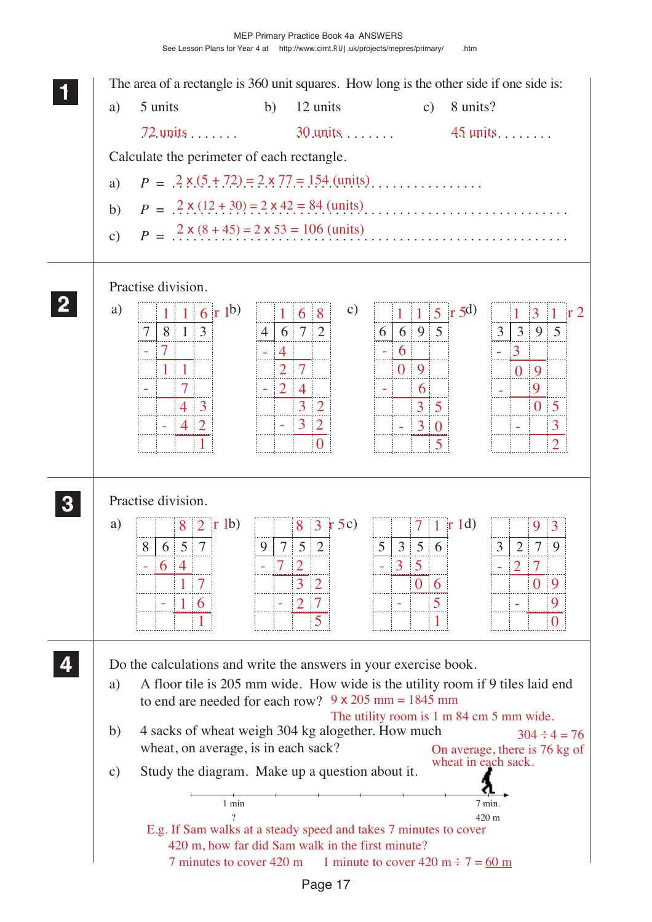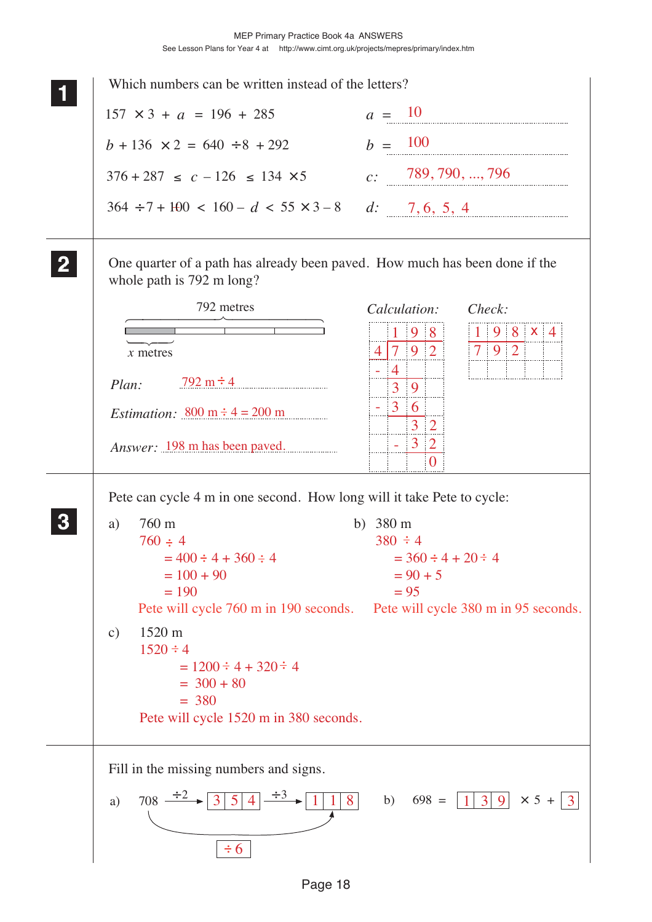|               | Which numbers can be written instead of the letters?                                                     |                                                                 |  |  |  |  |  |  |  |
|---------------|----------------------------------------------------------------------------------------------------------|-----------------------------------------------------------------|--|--|--|--|--|--|--|
|               | $157 \times 3 + a = 196 + 285$                                                                           | $a = 10$                                                        |  |  |  |  |  |  |  |
|               | $b + 136 \times 2 = 640 \div 8 + 292$                                                                    | $b = 100$                                                       |  |  |  |  |  |  |  |
|               | $376 + 287 \leq c - 126 \leq 134 \times 5$                                                               | c: 789, 790, , 796                                              |  |  |  |  |  |  |  |
|               | $364 \div 7 + 100 < 160 - d < 55 \times 3 - 8$ d: 7, 6, 5, 4                                             |                                                                 |  |  |  |  |  |  |  |
|               | One quarter of a path has already been paved. How much has been done if the<br>whole path is 792 m long? |                                                                 |  |  |  |  |  |  |  |
|               | 792 metres                                                                                               | Calculation:<br>Check:                                          |  |  |  |  |  |  |  |
|               | $x$ metres                                                                                               | $1 \t9 \t8 \t x \t4$<br>98<br>$7 \mid 9 \mid 2 \mid$<br>4 7 9 2 |  |  |  |  |  |  |  |
|               | $792 \text{ m} \div 4$<br>Plan:                                                                          | $\frac{4}{3}$<br>3 <sup>1</sup><br>9                            |  |  |  |  |  |  |  |
|               | <i>Estimation:</i> 800 m $\div$ 4 = 200 m                                                                | $3\quad 6$<br>$\overline{3}$<br>$\overline{2}$                  |  |  |  |  |  |  |  |
|               | <i>Answer</i> : 198 m has been paved.                                                                    | 3 2<br>$\Omega$                                                 |  |  |  |  |  |  |  |
|               | Pete can cycle 4 m in one second. How long will it take Pete to cycle:                                   |                                                                 |  |  |  |  |  |  |  |
| a)            | 760 m                                                                                                    | b) $380 \text{ m}$                                              |  |  |  |  |  |  |  |
|               | $760 \div 4$                                                                                             | $380 \div 4$                                                    |  |  |  |  |  |  |  |
|               | $= 400 \div 4 + 360 \div 4$                                                                              | $= 360 \div 4 + 20 \div 4$                                      |  |  |  |  |  |  |  |
|               | $= 100 + 90$<br>$= 190$                                                                                  | $= 90 + 5$<br>$= 95$                                            |  |  |  |  |  |  |  |
|               | Pete will cycle 760 m in 190 seconds. Pete will cycle 380 m in 95 seconds.                               |                                                                 |  |  |  |  |  |  |  |
| $\mathbf{c})$ | $1520 \text{ m}$                                                                                         |                                                                 |  |  |  |  |  |  |  |
|               | $1520 \div 4$                                                                                            |                                                                 |  |  |  |  |  |  |  |
|               | $= 1200 \div 4 + 320 \div 4$                                                                             |                                                                 |  |  |  |  |  |  |  |
|               | $=$ 300 + 80                                                                                             |                                                                 |  |  |  |  |  |  |  |
|               | $= 380$                                                                                                  |                                                                 |  |  |  |  |  |  |  |
|               | Pete will cycle 1520 m in 380 seconds.                                                                   |                                                                 |  |  |  |  |  |  |  |
|               | Fill in the missing numbers and signs.                                                                   |                                                                 |  |  |  |  |  |  |  |
| a)            | $708 \rightarrow 3 \mid 5 \mid 4$<br>1 8<br> 1                                                           | $1 3 9  \times 5 +  3 $<br>$698 =$<br>b)                        |  |  |  |  |  |  |  |
|               |                                                                                                          |                                                                 |  |  |  |  |  |  |  |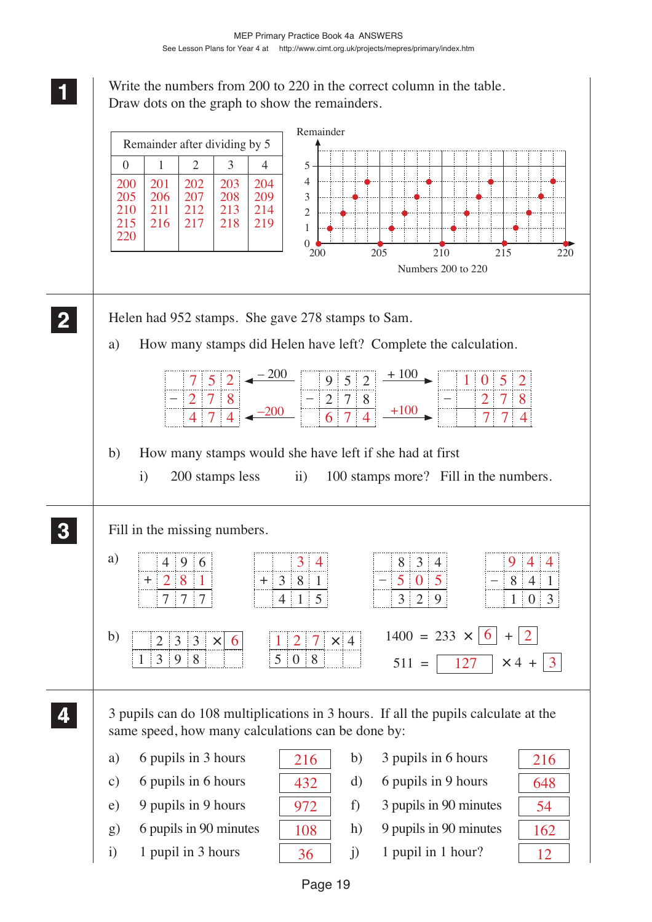Write the numbers from 200 to 220 in the correct column in the table. Draw dots on the graph to show the remainders.

**1 11 11**

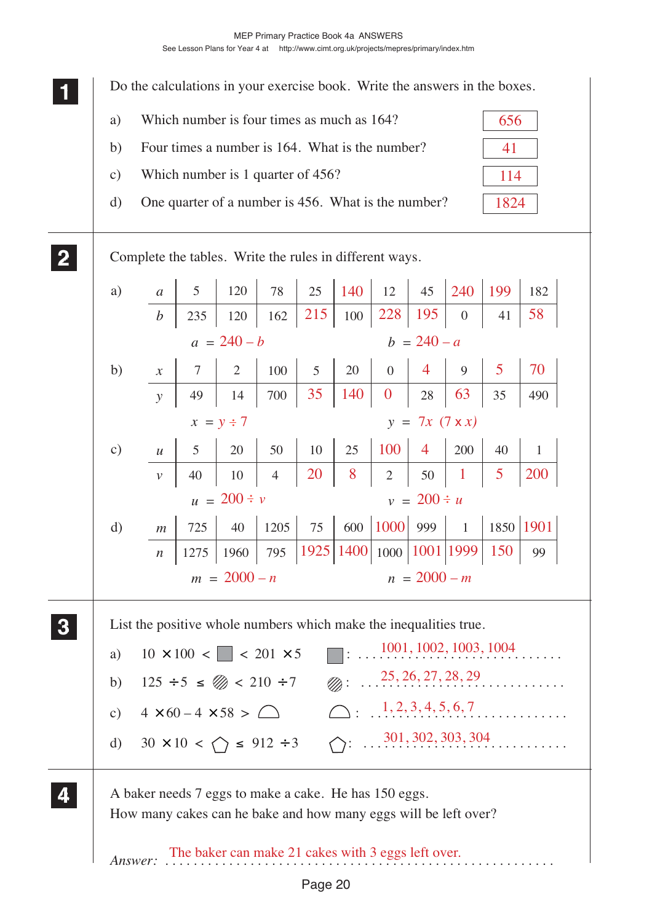MEP Primary Practice Book 4a ANSWERS

See Lesson Plans for Year 4 at http://www.cimt.org.uk/projects/mepres/primary/index.htm

Do the calculations in your exercise book. Write the answers in the boxes. a) Which number is four times as much as 164? b) Four times a number is 164. What is the number? c) Which number is 1 quarter of 456? d) One quarter of a number is 456. What is the number? 656 41 114 1824

Complete the tables. Write the rules in different ways.

**1 11 11**

**2 22 22**

**4 44 44**

**3 33 33**

| a)                                 | $\boldsymbol{a}$           | 5              | 120              | 78             | 25             | 140                      | 12                   |                | 45   240   199 |                | 182          |  |  |
|------------------------------------|----------------------------|----------------|------------------|----------------|----------------|--------------------------|----------------------|----------------|----------------|----------------|--------------|--|--|
|                                    | $\boldsymbol{b}$           | 235            | 120              | 162            | 215            | 100                      | 228                  | 195            | $\overline{0}$ | 41             | 58           |  |  |
|                                    |                            |                | $a = 240 - b$    |                |                | $b = 240 - a$            |                      |                |                |                |              |  |  |
| b)                                 | $\boldsymbol{\mathcal{X}}$ | $\overline{7}$ | $\overline{2}$   | 100            | 5 <sup>5</sup> | 20                       | $\overline{0}$       | $\overline{4}$ | 9              | $\mathfrak{S}$ | 70           |  |  |
|                                    | $\mathcal{Y}$              | 49             | 14               | 700            | 35             | 140                      | $\boldsymbol{0}$     | 28             | 63             | 35             | 490          |  |  |
| $y = 7x (7 x x)$<br>$x = y \div 7$ |                            |                |                  |                |                |                          |                      |                |                |                |              |  |  |
| $\circ$ )                          | $\mathcal{U}$              | 5              | 20               | 50             | 10             | 25                       | 100                  | $\overline{4}$ | 200            | 40             | $\mathbf{1}$ |  |  |
|                                    | $\mathcal V$               | 40             | 10               | $\overline{4}$ | 20             | 8                        | $2 \mid$             | $50\,$         | $\mathbf{1}$   | 5              | 200          |  |  |
|                                    |                            |                | $u = 200 \div v$ |                |                | $v = 200 \div u$         |                      |                |                |                |              |  |  |
| d)                                 | $\mathfrak{m}$             | 725            | 40               | 1205           | 75             |                          | 600   1000   999   1 |                |                | 1850 1901      |              |  |  |
|                                    | $\boldsymbol{n}$           | 1275           | 1960             | 795            |                | 1925 1400 1000 1001 1999 |                      |                |                | 150            | 99           |  |  |
|                                    |                            |                | $m = 2000 - n$   |                |                |                          |                      | $n = 2000 - m$ |                |                |              |  |  |
|                                    |                            |                |                  |                |                |                          |                      |                |                |                |              |  |  |

List the positive whole numbers which make the inequalities true.

|  | a) $10 \times 100 < \blacksquare < 201 \times 5$ $\blacksquare$ : $\frac{1001, 1002, 1003, 1004}{\ldots}$                                                                                                                                                                                                                                                                                                            |
|--|----------------------------------------------------------------------------------------------------------------------------------------------------------------------------------------------------------------------------------------------------------------------------------------------------------------------------------------------------------------------------------------------------------------------|
|  | b) $125 \div 5 \leq \mathcal{D} < 210 \div 7$ $\mathcal{D}_0: \dots, \dots, \dots, \dots, 25, 26, 27, 28, 29$                                                                                                                                                                                                                                                                                                        |
|  | c) $4 \times 60 - 4 \times 58 > \bigcirc$ $\bigcirc$ $\bigcirc$ $\bigcirc$ $\bigcirc$ $\bigcirc$ $\bigcirc$ $\bigcirc$ $\bigcirc$ $\bigcirc$ $\bigcirc$ $\bigcirc$ $\bigcirc$ $\bigcirc$ $\bigcirc$ $\bigcirc$ $\bigcirc$ $\bigcirc$ $\bigcirc$ $\bigcirc$ $\bigcirc$ $\bigcirc$ $\bigcirc$ $\bigcirc$ $\bigcirc$ $\bigcirc$ $\bigcirc$ $\bigcirc$ $\bigcirc$ $\bigcirc$ $\bigcirc$ $\bigcirc$ $\bigcirc$ $\bigcirc$ |
|  |                                                                                                                                                                                                                                                                                                                                                                                                                      |

A baker needs 7 eggs to make a cake. He has 150 eggs. How many cakes can he bake and how many eggs will be left over?

*Answer*: The baker can make 21 cakes with 3 eggs left over.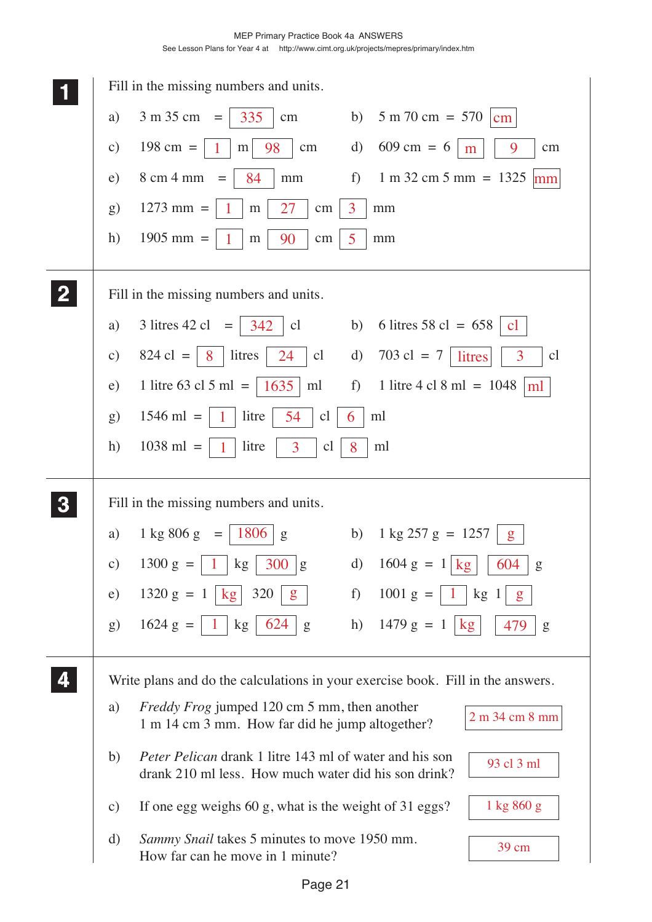|               | Fill in the missing numbers and units.                                                                                               |
|---------------|--------------------------------------------------------------------------------------------------------------------------------------|
| a)            | $3 m 35 cm =$<br>335<br>$5 m 70 cm = 570$<br>b)<br>cm<br>cm                                                                          |
| $\mathbf{c})$ | $198 \text{ cm} =$<br>$609 \text{ cm} = 6$<br>98<br>$\mathbf{d}$<br>9<br>cm<br>m<br>cm<br>m                                          |
| e)            | 8 cm 4 mm<br>f)<br>$1 m 32 cm 5 mm = 1325$<br>84<br>mm<br>$=$<br>mm                                                                  |
| g)            | $1273$ mm =<br>$\overline{3}$<br>27<br>cm<br>mm<br>m                                                                                 |
| h)            | $1905$ mm =<br>90<br>5<br>${\rm m}$<br>cm<br>mm                                                                                      |
|               | Fill in the missing numbers and units.                                                                                               |
| a)            | 3 litres 42 cl = $ 342$<br>6 litres 58 cl = $658$<br>cl<br>b)<br>cl                                                                  |
| $\mathbf{c})$ | $824 \text{ cl } =$<br>$703 \text{ cl } = 7$<br>litres<br>24<br>cl<br>3<br>d)<br>8<br>litres<br>cl                                   |
| e)            | $f$ )<br>1 litre 63 cl 5 ml =<br>1 litre 4 cl 8 ml = $1048$<br>1635<br>ml<br>$\lfloor m \rfloor$                                     |
| $\mathbf{g}$  | $1546$ ml =<br>litre<br>54<br>ml<br><sub>c</sub> l<br>1<br>6                                                                         |
| h)            | $1038$ ml =<br>litre<br>3<br>cl<br>ml<br>8                                                                                           |
|               | Fill in the missing numbers and units.                                                                                               |
| a)            | $1 \text{ kg } 806 \text{ g}$<br><b>1806</b><br>b)<br>$1 \text{ kg } 257 \text{ g} = 1257$<br>$=  $<br>g<br>g                        |
| $\mathbf{c})$ | $1300 g =$<br>$1604 g = 1   kg$<br>300<br>$\mathbf{d}$<br>604<br>kg <sub>2</sub><br>g<br>g                                           |
| e)            | $1320 g =$<br>320<br>f<br>$1001 g =$<br>kg <sub>1</sub><br>kg <sub>1</sub><br>g<br>-1<br>g                                           |
| g)            | 624<br>h) $1479 g =$<br>$1624 g =$<br>kg<br>kg<br>$\overline{1}$<br>479<br>g<br>g                                                    |
|               | Write plans and do the calculations in your exercise book. Fill in the answers.                                                      |
| a)            | Freddy Frog jumped 120 cm 5 mm, then another<br>2 m 34 cm 8 mm<br>1 m 14 cm 3 mm. How far did he jump altogether?                    |
| b)            | <i>Peter Pelican drank 1 litre 143 ml of water and his son</i><br>93 cl 3 ml<br>drank 210 ml less. How much water did his son drink? |
| $\mathbf{c})$ | If one egg weighs 60 g, what is the weight of 31 eggs?<br>1 kg 860 g                                                                 |
| d)            | Sammy Snail takes 5 minutes to move 1950 mm.<br>39 cm<br>How far can he move in 1 minute?                                            |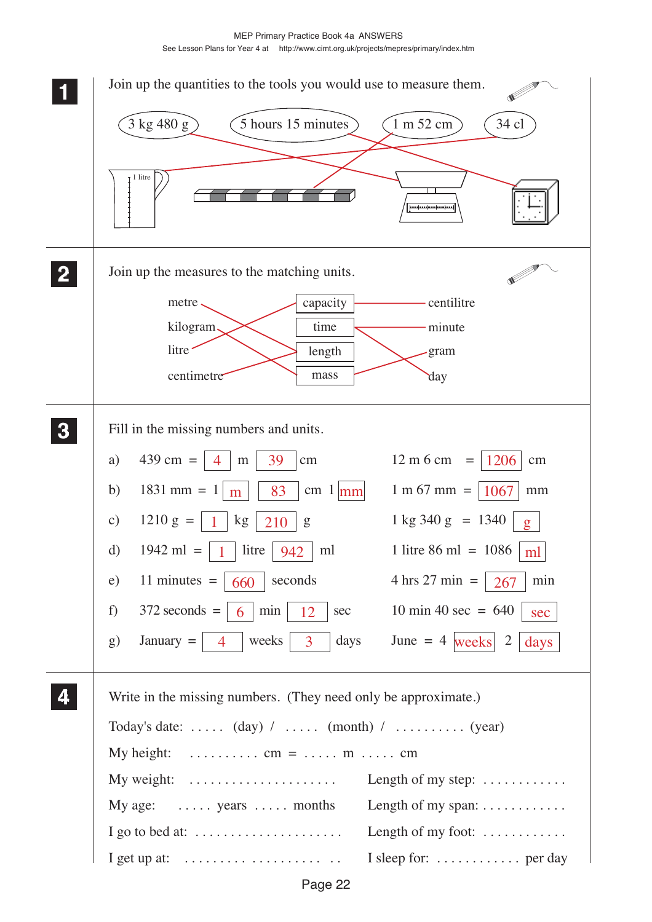MEP Primary Practice Book 4a ANSWERS See Lesson Plans for Year 4 at http://www.cimt.org.uk/projects/mepres/primary/index.htm

|                | Join up the quantities to the tools you would use to measure them.                                                                                    |
|----------------|-------------------------------------------------------------------------------------------------------------------------------------------------------|
|                | $34\,\mathrm{cl}$<br>$3$ kg 480 g)<br>5 hours 15 minutes<br>1 m 52 cm                                                                                 |
|                | $I$ litre                                                                                                                                             |
| $\overline{2}$ | Join up the measures to the matching units.                                                                                                           |
|                | centilitre<br>capacity<br>metre,<br>kilogram,<br>time<br>minute                                                                                       |
|                | litre <sup>-</sup><br>length<br>gram                                                                                                                  |
|                | centimetre<br>mass<br>day                                                                                                                             |
| $\mathbf{3}$   | Fill in the missing numbers and units.                                                                                                                |
|                | $439 \text{ cm} =$<br>12 m 6 cm<br>1206<br>a)<br>39<br>$=$<br>${\rm m}$<br>cm<br>cm<br>4                                                              |
|                | $1831 \text{ mm} = 1$<br>$1 m 67 mm =$<br>b)<br>83<br>cm $1 \vert \text{mm} \vert$<br>1067<br>mm<br>m                                                 |
|                | $1210 g =$<br>$1 \text{ kg } 340 \text{ g } = 1340$<br>kg<br>$\mathbf{c})$<br>210<br>g<br>$g_{\parallel}$                                             |
|                | 1942 ml = $\begin{vmatrix} 1 \\ 1 \end{vmatrix}$ litre $\begin{vmatrix} 942 \\ 1 \end{vmatrix}$<br>1 litre 86 ml = $1086$<br>$\mathbf{d}$<br>ml<br>ml |
|                | 11 minutes $=$<br>seconds<br>$4 \text{ hrs } 27 \text{ min } =$<br>min<br>e)<br>660<br>267                                                            |
|                | 10 min 40 sec = $640$<br>$372$ seconds =<br>min<br>f)<br>6<br>12<br>sec<br>sec                                                                        |
|                | June = $4$ weeks 2<br>days<br>$January =$<br>weeks<br>$\overline{3}$<br>$\mathbf{g}$<br>days<br>$\overline{4}$                                        |
|                | Write in the missing numbers. (They need only be approximate.)                                                                                        |
|                | Today's date: $(\text{day})$ / $(\text{month})$ / $(\text{year})$                                                                                     |
|                | My height:<br>$\ldots \ldots \ldots \ldots \text{ cm} = \ldots \ldots \text{ m} \ldots \ldots \text{ cm}$                                             |
|                | My weight: $\dots\dots\dots\dots\dots\dots\dots\dots$<br>Length of my step: $\dots \dots \dots$                                                       |
|                | Length of my span: $\dots \dots \dots$<br>My age: $\dots$ years $\dots$ months                                                                        |
|                | Length of my foot: $\dots\dots\dots\dots$<br>I go to bed at: $\dots \dots \dots \dots \dots \dots \dots$                                              |
|                | I sleep for:  per day<br>I get up at: $\dots \dots \dots \dots \dots \dots \dots$                                                                     |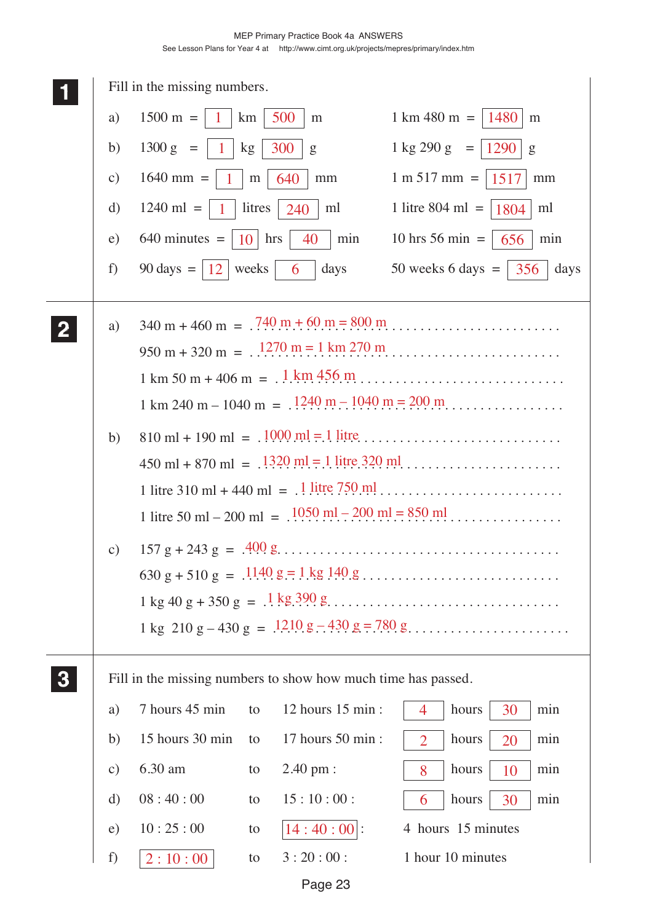|               | Fill in the missing numbers.         |                        |                                                               |                                                                                                                                                                                                                                                                                                                                                                          |
|---------------|--------------------------------------|------------------------|---------------------------------------------------------------|--------------------------------------------------------------------------------------------------------------------------------------------------------------------------------------------------------------------------------------------------------------------------------------------------------------------------------------------------------------------------|
| a)            | $1500 \text{ m} =$<br>$\overline{1}$ | km                     | 500<br>m                                                      | $1 \text{ km } 480 \text{ m } = 1480$<br>m                                                                                                                                                                                                                                                                                                                               |
| b)            | $1300 g =$<br>$\mathbf{1}$           | kg                     | 300<br>g                                                      | $1 \text{ kg } 290 \text{ g} =$<br>1290<br>g                                                                                                                                                                                                                                                                                                                             |
| $\mathbf{c})$ | $1640$ mm =<br>1.                    | ${\rm m}$              | 640<br>mm                                                     | $1 m 517 mm =$<br>1517<br>mm                                                                                                                                                                                                                                                                                                                                             |
| d)            | $1240$ ml =<br>$\mathbf{1}$          | litres                 | 240<br>ml                                                     | 1 litre 804 ml $=$<br>1804<br>ml                                                                                                                                                                                                                                                                                                                                         |
| e)            | $640$ minutes $=$                    | hrs<br>10 <sup>1</sup> | 40<br>min                                                     | 10 hrs 56 min $=$<br>min<br>656                                                                                                                                                                                                                                                                                                                                          |
| f)            | 90 days = $ 12 $                     | weeks                  | days<br>6                                                     | 50 weeks 6 days $=$ 356<br>days                                                                                                                                                                                                                                                                                                                                          |
| a)            |                                      |                        |                                                               | $340 \text{ m} + 460 \text{ m} = .740 \text{ m} + 60 \text{ m} = 800 \text{ m}$<br>$950 \text{ m} + 320 \text{ m} = 1270 \text{ m} = 1 \text{ km } 270 \text{ m}$<br>$1 \text{ km } 50 \text{ m} + 406 \text{ m} = 0.1 \text{ km } 456 \text{ m } 0.0001 \text{ m}$<br>$1 \text{ km } 240 \text{ m} - 1040 \text{ m} = .1240 \text{ m} - 1040 \text{ m} = 200 \text{ m}$ |
| b)            |                                      |                        |                                                               | $810 \text{ ml} + 190 \text{ ml} = .1000 \text{ ml} = .1 \text{ litre} \dots \dots \dots \dots \dots \dots \dots \dots \dots \dots$<br>$450 \text{ ml} + 870 \text{ ml} = .1320 \text{ ml} = 1 \text{ litre} 320 \text{ ml} \dots \dots \dots \dots \dots \dots$                                                                                                         |
| $\mathbf{c})$ |                                      |                        |                                                               |                                                                                                                                                                                                                                                                                                                                                                          |
|               |                                      |                        | Fill in the missing numbers to show how much time has passed. |                                                                                                                                                                                                                                                                                                                                                                          |
| a)            | 7 hours 45 min                       | to                     | 12 hours 15 min :                                             | hours<br>$\overline{4}$<br>30<br>min                                                                                                                                                                                                                                                                                                                                     |
| b)            | 15 hours 30 min                      | to                     | 17 hours 50 min :                                             | hours<br>$\overline{2}$<br>20<br>min                                                                                                                                                                                                                                                                                                                                     |
| $\mathbf{c})$ | 6.30 am                              | to                     | 2.40 pm :                                                     | hours<br>min<br>8<br>10                                                                                                                                                                                                                                                                                                                                                  |
| $\mathbf{d}$  | 08:40:00                             | to                     | 15:10:00:                                                     | hours<br>30<br>6<br>min                                                                                                                                                                                                                                                                                                                                                  |
| e)            | 10:25:00                             | to                     | $ 14:40:00 $ :                                                | 4 hours 15 minutes                                                                                                                                                                                                                                                                                                                                                       |
| f)            | 2:10:00                              | to                     | 3:20:00:                                                      | 1 hour 10 minutes                                                                                                                                                                                                                                                                                                                                                        |
|               |                                      |                        | Page 23                                                       |                                                                                                                                                                                                                                                                                                                                                                          |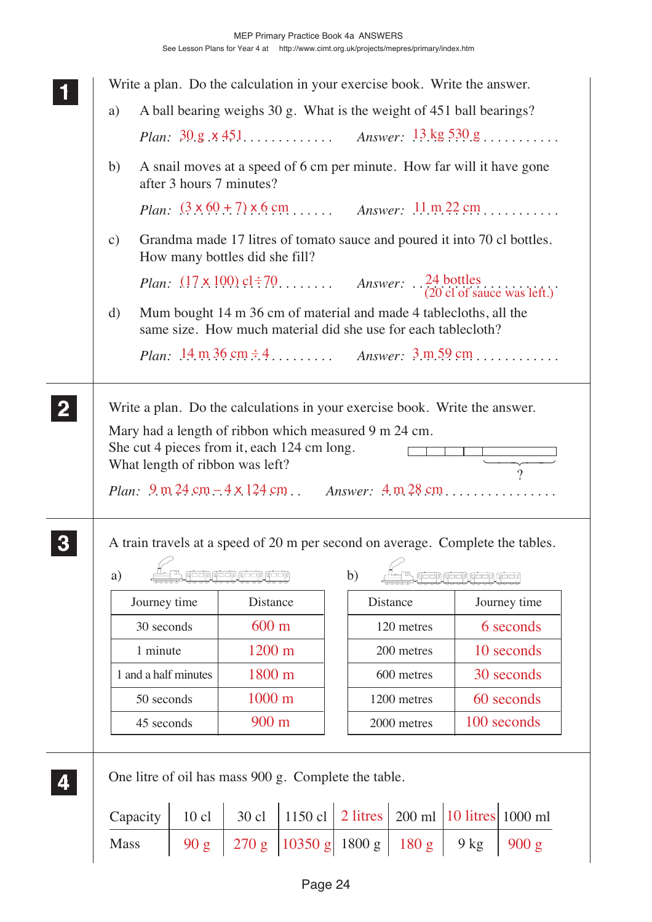| a)            |                                                                                                                                                                                                                                                                         |                      | A ball bearing weighs 30 g. What is the weight of 451 ball bearings?                                                                                                                                |                                                       |  |          |             |                                |              |  |  |
|---------------|-------------------------------------------------------------------------------------------------------------------------------------------------------------------------------------------------------------------------------------------------------------------------|----------------------|-----------------------------------------------------------------------------------------------------------------------------------------------------------------------------------------------------|-------------------------------------------------------|--|----------|-------------|--------------------------------|--------------|--|--|
|               |                                                                                                                                                                                                                                                                         |                      |                                                                                                                                                                                                     |                                                       |  |          |             |                                |              |  |  |
| b)            |                                                                                                                                                                                                                                                                         |                      | A snail moves at a speed of 6 cm per minute. How far will it have gone<br>after 3 hours 7 minutes?                                                                                                  |                                                       |  |          |             |                                |              |  |  |
|               |                                                                                                                                                                                                                                                                         |                      | <i>Plan:</i> $(3 \times 60 + 7) \times 6$ cm <i>Answer:</i> $11 \text{ m} 22 \text{ cm}$                                                                                                            |                                                       |  |          |             |                                |              |  |  |
| $\mathbf{c})$ |                                                                                                                                                                                                                                                                         |                      | Grandma made 17 litres of tomato sauce and poured it into 70 cl bottles.<br>How many bottles did she fill?                                                                                          |                                                       |  |          |             |                                |              |  |  |
|               | <i>Plan:</i> $(17 \times 100)$ cl: 70 <i>Answer:</i> $\therefore$ 24 bottles $(20 \text{ cl of } \text{sauce } \text{was left.})$<br>Mum bought 14 m 36 cm of material and made 4 tablecloths, all the<br>same size. How much material did she use for each tablecloth? |                      |                                                                                                                                                                                                     |                                                       |  |          |             |                                |              |  |  |
| d)            |                                                                                                                                                                                                                                                                         |                      |                                                                                                                                                                                                     |                                                       |  |          |             |                                |              |  |  |
|               |                                                                                                                                                                                                                                                                         |                      | <i>Plan:</i> $14 \text{ m } 36 \text{ cm } \div 4$ <i>Answer:</i> $3 \text{ m } 59 \text{ cm}$                                                                                                      |                                                       |  |          |             |                                |              |  |  |
|               |                                                                                                                                                                                                                                                                         |                      | She cut 4 pieces from it, each 124 cm long.<br>What length of ribbon was left?<br><i>Plan:</i> $9 \text{ m } 24 \text{ cm} - 4 \times 124 \text{ cm}$ . <i>Answer:</i> $4 \text{ m } 28 \text{ cm}$ | Mary had a length of ribbon which measured 9 m 24 cm. |  |          |             |                                | $\gamma$     |  |  |
|               |                                                                                                                                                                                                                                                                         |                      | A train travels at a speed of 20 m per second on average. Complete the tables.                                                                                                                      |                                                       |  |          |             |                                |              |  |  |
| a)            |                                                                                                                                                                                                                                                                         |                      | بعجوا لأججوا لأججوا لأجحيه                                                                                                                                                                          |                                                       |  | b)       |             | بإعجاب لانعجاب لأبعجاب لأبعجان |              |  |  |
|               | Journey time                                                                                                                                                                                                                                                            |                      | Distance                                                                                                                                                                                            |                                                       |  |          | Distance    |                                | Journey time |  |  |
|               | 30 seconds                                                                                                                                                                                                                                                              |                      | $600 \text{ m}$                                                                                                                                                                                     |                                                       |  |          | 120 metres  |                                | 6 seconds    |  |  |
|               | 1 minute                                                                                                                                                                                                                                                                |                      | 1200 m                                                                                                                                                                                              |                                                       |  |          | 200 metres  |                                | 10 seconds   |  |  |
|               |                                                                                                                                                                                                                                                                         | 1 and a half minutes | 1800 m                                                                                                                                                                                              |                                                       |  |          | 600 metres  |                                | 30 seconds   |  |  |
|               | 50 seconds                                                                                                                                                                                                                                                              |                      | 1000 m                                                                                                                                                                                              |                                                       |  |          | 1200 metres |                                | 60 seconds   |  |  |
|               | 45 seconds                                                                                                                                                                                                                                                              |                      | 900 m                                                                                                                                                                                               |                                                       |  |          | 2000 metres |                                | 100 seconds  |  |  |
|               |                                                                                                                                                                                                                                                                         |                      | One litre of oil has mass 900 g. Complete the table.                                                                                                                                                |                                                       |  |          |             |                                |              |  |  |
|               | Capacity                                                                                                                                                                                                                                                                | 10 cl                | $30$ cl                                                                                                                                                                                             | 1150 cl $\vert$                                       |  | 2 litres |             | 200 ml 10 litres 1000 ml       |              |  |  |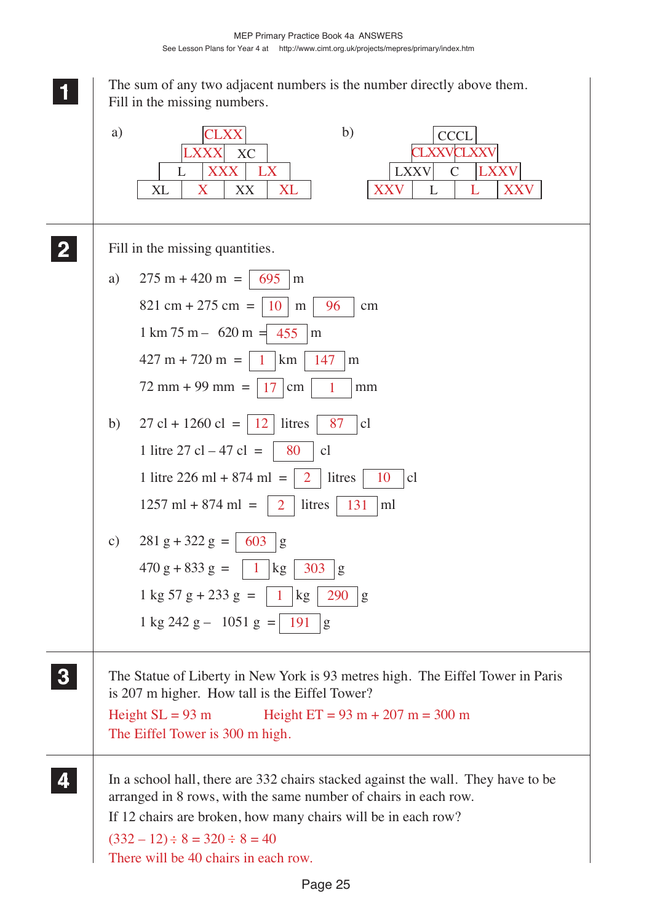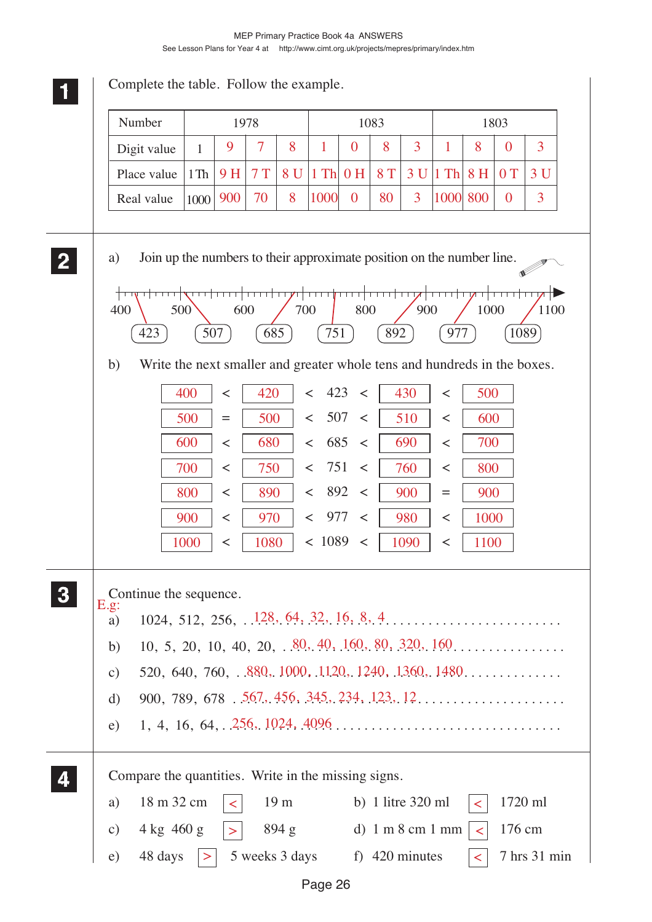| Number<br>1083<br>1803<br>1978<br>3<br>7<br>8<br>8<br>8<br>9<br>1<br>$\boldsymbol{0}$<br>1<br>$\overline{0}$<br>Digit value<br>$\mathbf{1}$<br>7T<br>8 U<br>$1$ Th<br>8 T<br>$1$ Th<br>8H<br>0T<br>Place value<br>9 H<br>0 <sub>H</sub><br>3U<br>1Th<br>$\overline{3}$<br>900<br>70<br>8<br>1000<br>80<br>1000<br>800<br>$\boldsymbol{0}$<br>$\theta$<br>Real value<br>1000<br>Join up the numbers to their approximate position on the number line.<br>a)<br>400<br>600<br>700<br>800<br>900<br>1000<br>500<br>751<br>507<br>685<br>423<br>892<br>977<br>1089<br>b)<br>Write the next smaller and greater whole tens and hundreds in the boxes.<br>423<br>400<br>430<br>420<br>500<br>$\prec$<br>$\,<$<br>$\lt$<br>$\,<\,$<br>507<br>500<br>500<br>510<br>600<br>$\lt$<br>$\,<$<br>$=$<br>$\,<\,$<br>685<br>600<br>680<br>690<br>700<br>$\,<\,$<br>$\,<$<br>$\,<\,$<br>$\,<\,$<br>751<br>700<br>760<br>750<br>$\,<$<br>800<br>$\,<\,$<br>$\lt$<br>$\,<\,$<br>892<br>900<br>800<br>890<br>900<br>$\,<\,$<br>$\,<$<br>$\,<\,$<br>$=$<br>977<br>900<br>970<br>980<br>1000<br>$\,<$<br>$\,<\,$<br>$\prec$<br>$\,<\,$<br>< 1089<br>1000<br>1080<br>1090<br>1100<br>$\,<$<br>$\,<\,$<br>$\,<\,$<br>Continue the sequence.<br>E.g.<br>a)<br>10, 5, 20, 10, 40, 20, $\frac{80}{100}$ , 40, 160, 80, 320, 160<br>b)<br>$\mathbf{c})$<br>$\mathbf{d}$<br>e)<br>Compare the quantities. Write in the missing signs. | Complete the table. Follow the example. |  |  |  |  |  |  |  |              |
|-----------------------------------------------------------------------------------------------------------------------------------------------------------------------------------------------------------------------------------------------------------------------------------------------------------------------------------------------------------------------------------------------------------------------------------------------------------------------------------------------------------------------------------------------------------------------------------------------------------------------------------------------------------------------------------------------------------------------------------------------------------------------------------------------------------------------------------------------------------------------------------------------------------------------------------------------------------------------------------------------------------------------------------------------------------------------------------------------------------------------------------------------------------------------------------------------------------------------------------------------------------------------------------------------------------------------------------------------------------------------------------------------------------|-----------------------------------------|--|--|--|--|--|--|--|--------------|
|                                                                                                                                                                                                                                                                                                                                                                                                                                                                                                                                                                                                                                                                                                                                                                                                                                                                                                                                                                                                                                                                                                                                                                                                                                                                                                                                                                                                           |                                         |  |  |  |  |  |  |  |              |
|                                                                                                                                                                                                                                                                                                                                                                                                                                                                                                                                                                                                                                                                                                                                                                                                                                                                                                                                                                                                                                                                                                                                                                                                                                                                                                                                                                                                           |                                         |  |  |  |  |  |  |  | 3            |
|                                                                                                                                                                                                                                                                                                                                                                                                                                                                                                                                                                                                                                                                                                                                                                                                                                                                                                                                                                                                                                                                                                                                                                                                                                                                                                                                                                                                           |                                         |  |  |  |  |  |  |  | 3U           |
|                                                                                                                                                                                                                                                                                                                                                                                                                                                                                                                                                                                                                                                                                                                                                                                                                                                                                                                                                                                                                                                                                                                                                                                                                                                                                                                                                                                                           |                                         |  |  |  |  |  |  |  | 3            |
|                                                                                                                                                                                                                                                                                                                                                                                                                                                                                                                                                                                                                                                                                                                                                                                                                                                                                                                                                                                                                                                                                                                                                                                                                                                                                                                                                                                                           |                                         |  |  |  |  |  |  |  | 1100         |
|                                                                                                                                                                                                                                                                                                                                                                                                                                                                                                                                                                                                                                                                                                                                                                                                                                                                                                                                                                                                                                                                                                                                                                                                                                                                                                                                                                                                           |                                         |  |  |  |  |  |  |  |              |
| 18 m 32 cm<br>19 <sub>m</sub><br>1720 ml<br>b) 1 litre $320$ ml<br>a)<br>$\leq$<br>$\prec$<br>$4 \text{ kg}$ 460 g<br>176 cm<br>894 g<br>d) $1 \text{ m} 8 \text{ cm} 1 \text{ mm}$<br>$\mathbf{c})$<br>$\prec$                                                                                                                                                                                                                                                                                                                                                                                                                                                                                                                                                                                                                                                                                                                                                                                                                                                                                                                                                                                                                                                                                                                                                                                           |                                         |  |  |  |  |  |  |  |              |
| 48 days<br>5 weeks 3 days<br>f) 420 minutes<br>e)<br>$\vert > \vert$<br>$\lt$                                                                                                                                                                                                                                                                                                                                                                                                                                                                                                                                                                                                                                                                                                                                                                                                                                                                                                                                                                                                                                                                                                                                                                                                                                                                                                                             |                                         |  |  |  |  |  |  |  | 7 hrs 31 min |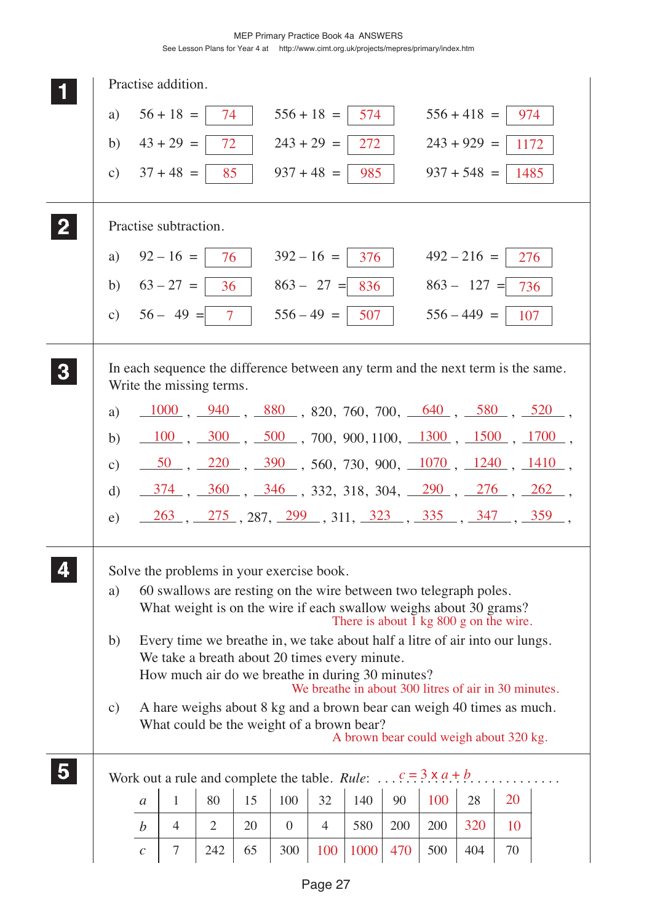MEP Primary Practice Book 4a ANSWERS

See Lesson Plans for Year 4 at http://www.cimt.org.uk/projects/mepres/primary/index.htm

|                |                 |                  | Practise addition.                                                                                                                                                                 |                |    |                  |                                                      |                                                     |     |     |               |      |                                                                                                                                                        |
|----------------|-----------------|------------------|------------------------------------------------------------------------------------------------------------------------------------------------------------------------------------|----------------|----|------------------|------------------------------------------------------|-----------------------------------------------------|-----|-----|---------------|------|--------------------------------------------------------------------------------------------------------------------------------------------------------|
|                | a)              |                  | $56 + 18 =$                                                                                                                                                                        | 74             |    |                  | $556 + 18 =$                                         | 574                                                 |     |     | $556 + 418 =$ | 974  |                                                                                                                                                        |
|                | b)              |                  | $43 + 29 =$                                                                                                                                                                        | 72             |    |                  | $243 + 29 =$                                         | 272                                                 |     |     | $243 + 929 =$ | 1172 |                                                                                                                                                        |
|                | $\mathcal{C}$ ) |                  | $37 + 48 =$                                                                                                                                                                        | 85             |    |                  | $937 + 48 =$                                         | 985                                                 |     |     | $937 + 548 =$ | 1485 |                                                                                                                                                        |
|                |                 |                  | Practise subtraction.                                                                                                                                                              |                |    |                  |                                                      |                                                     |     |     |               |      |                                                                                                                                                        |
|                | a)              |                  | $92 - 16 =$                                                                                                                                                                        | 76             |    |                  | $392 - 16 =$                                         | 376                                                 |     |     | $492 - 216 =$ | 276  |                                                                                                                                                        |
|                | b)              |                  | $63 - 27 =$                                                                                                                                                                        | 36             |    |                  | $863 - 27 =$                                         | 836                                                 |     |     | $863 - 127 =$ | 736  |                                                                                                                                                        |
|                | c)              |                  | $56 - 49 =$                                                                                                                                                                        | $\overline{7}$ |    |                  | $556 - 49 =$                                         | 507                                                 |     |     | $556 - 449 =$ | 107  |                                                                                                                                                        |
| 3              |                 |                  | In each sequence the difference between any term and the next term is the same.<br>Write the missing terms.                                                                        |                |    |                  |                                                      |                                                     |     |     |               |      |                                                                                                                                                        |
|                | a)              |                  |                                                                                                                                                                                    |                |    |                  |                                                      |                                                     |     |     |               |      | $\frac{1000}{1000}$ , $\frac{940}{1000}$ , $\frac{880}{1000}$ , $820$ , $760$ , $700$ , $\frac{640}{1000}$ , $\frac{580}{1000}$ , $\frac{520}{1000}$ , |
|                | b)              |                  |                                                                                                                                                                                    |                |    |                  |                                                      |                                                     |     |     |               |      | $\frac{100}{100}$ , $\frac{300}{1000}$ , $\frac{500}{1000}$ , $700$ , $900$ , $1100$ , $\frac{1300}{1000}$ , $\frac{1500}{1000}$ , $\frac{1700}{1000}$ |
|                | $\mathbf{c})$   |                  |                                                                                                                                                                                    |                |    |                  |                                                      |                                                     |     |     |               |      | $\frac{50}{100}$ , $\frac{220}{100}$ , $\frac{390}{100}$ , 560, 730, 900, $\frac{1070}{1000}$ , $\frac{1240}{1000}$ , $\frac{1410}{1000}$              |
|                | $\mathbf{d}$    |                  |                                                                                                                                                                                    |                |    |                  |                                                      |                                                     |     |     |               |      | $\frac{374}{10}$ , $\frac{360}{10}$ , $\frac{346}{10}$ , 332, 318, 304, $\frac{290}{10}$ , $\frac{276}{10}$ , $\frac{262}{10}$ ,                       |
|                | e)              |                  |                                                                                                                                                                                    |                |    |                  |                                                      |                                                     |     |     |               |      | $\frac{263}{1}$ , $\frac{275}{1}$ , 287, $\frac{299}{1}$ , 311, $\frac{323}{1}$ , $\frac{335}{1}$ , $\frac{347}{1}$ , $\frac{359}{1}$ ,                |
|                | a)              |                  | Solve the problems in your exercise book.<br>60 swallows are resting on the wire between two telegraph poles.<br>What weight is on the wire if each swallow weighs about 30 grams? |                |    |                  |                                                      | There is about $\overline{1}$ kg 800 g on the wire. |     |     |               |      |                                                                                                                                                        |
|                | b)              |                  | Every time we breathe in, we take about half a litre of air into our lungs.<br>We take a breath about 20 times every minute.<br>How much air do we breathe in during 30 minutes?   |                |    |                  | We breathe in about 300 litres of air in 30 minutes. |                                                     |     |     |               |      |                                                                                                                                                        |
|                | $\mathbf{c})$   |                  | A hare weighs about 8 kg and a brown bear can weigh 40 times as much.<br>What could be the weight of a brown bear?                                                                 |                |    |                  |                                                      | A brown bear could weigh about 320 kg.              |     |     |               |      |                                                                                                                                                        |
| 5 <sub>5</sub> |                 |                  | Work out a rule and complete the table. <i>Rule</i> : $c = 3 \times a + b$ .                                                                                                       |                |    |                  |                                                      |                                                     |     |     |               |      |                                                                                                                                                        |
|                |                 | $\boldsymbol{a}$ | $\mathbf{1}$                                                                                                                                                                       | 80             | 15 | 100              | 32                                                   | 140                                                 | 90  | 100 | 28            | 20   |                                                                                                                                                        |
|                |                 | $\boldsymbol{b}$ | $\overline{4}$                                                                                                                                                                     | $\overline{2}$ | 20 | $\boldsymbol{0}$ | $\overline{4}$                                       | 580                                                 | 200 | 200 | 320           | 10   |                                                                                                                                                        |
|                |                 | $\mathcal{C}$    | 7                                                                                                                                                                                  | 242            | 65 | 300              | 100                                                  | 1000                                                | 470 | 500 | 404           | 70   |                                                                                                                                                        |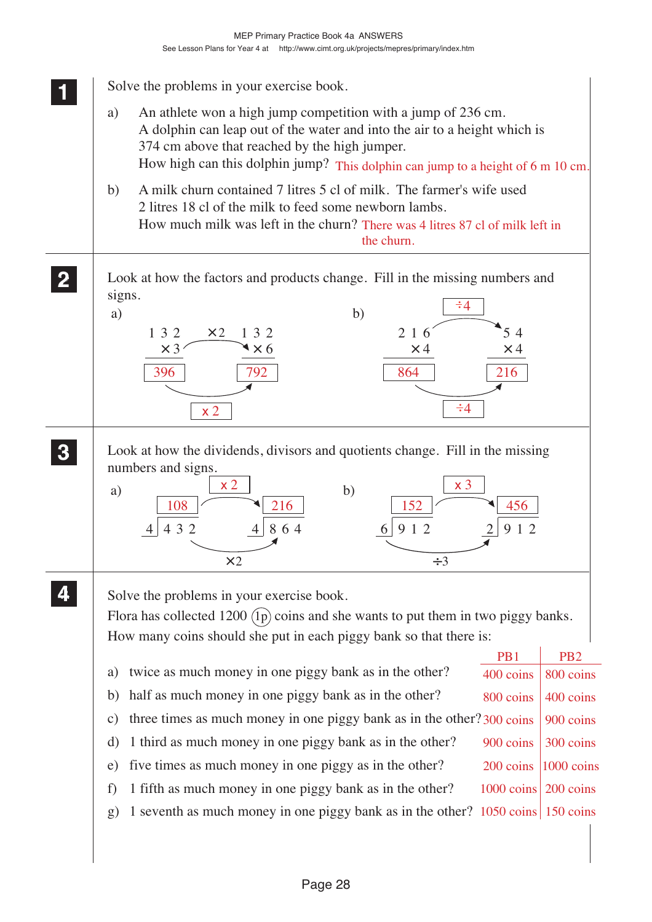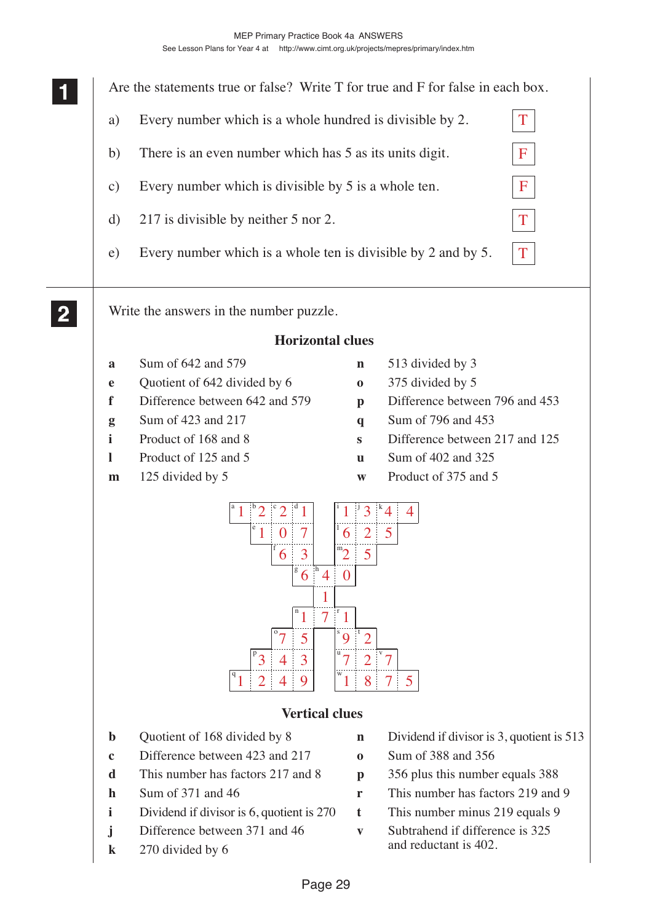MEP Primary Practice Book 4a ANSWERS

See Lesson Plans for Year 4 at http://www.cimt.org.uk/projects/mepres/primary/index.htm